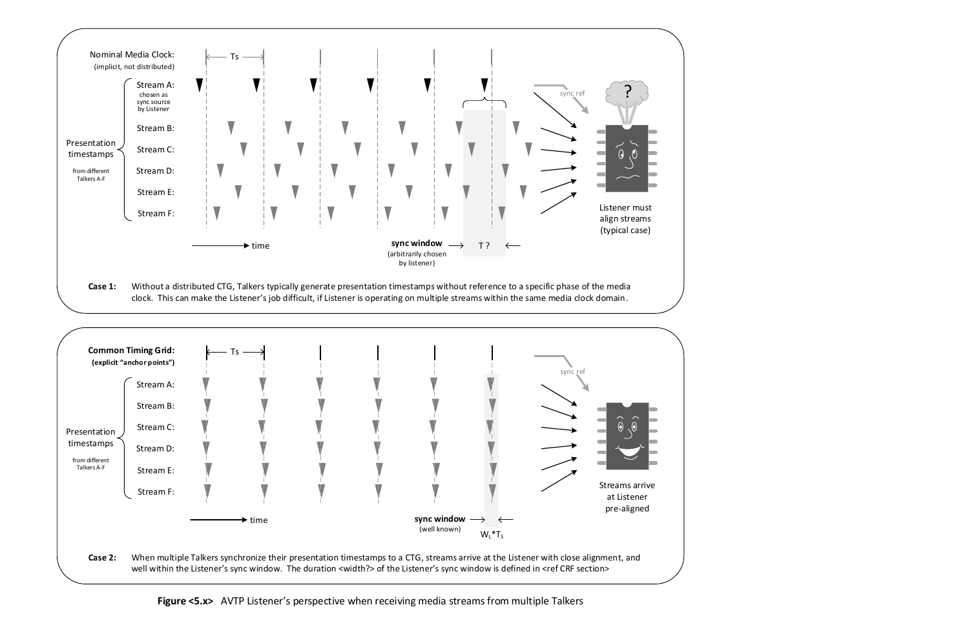



well within the Listener's sync window. The duration <width?> of the Listener's sync window is defined in <ref CRF section>

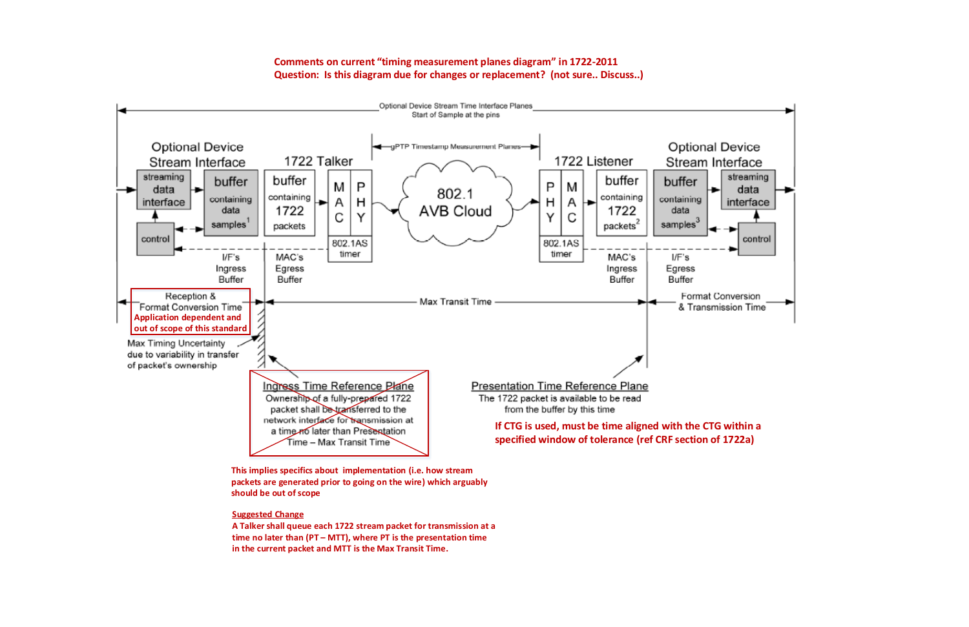**This implies specifics about implementation (i.e. how stream packets are generated prior to going on the wire) which arguably should be out of scope**

## **Suggested Change**



**A Talker shall queue each 1722 stream packet for transmission at a time no later than (PT – MTT), where PT is the presentation time in the current packet and MTT is the Max Transit Time.** 

**Comments on current timing measurement planes diagram in 1722-2011 Question: Is this diagram due for changes or replacement? (not sure.. Discuss..)**